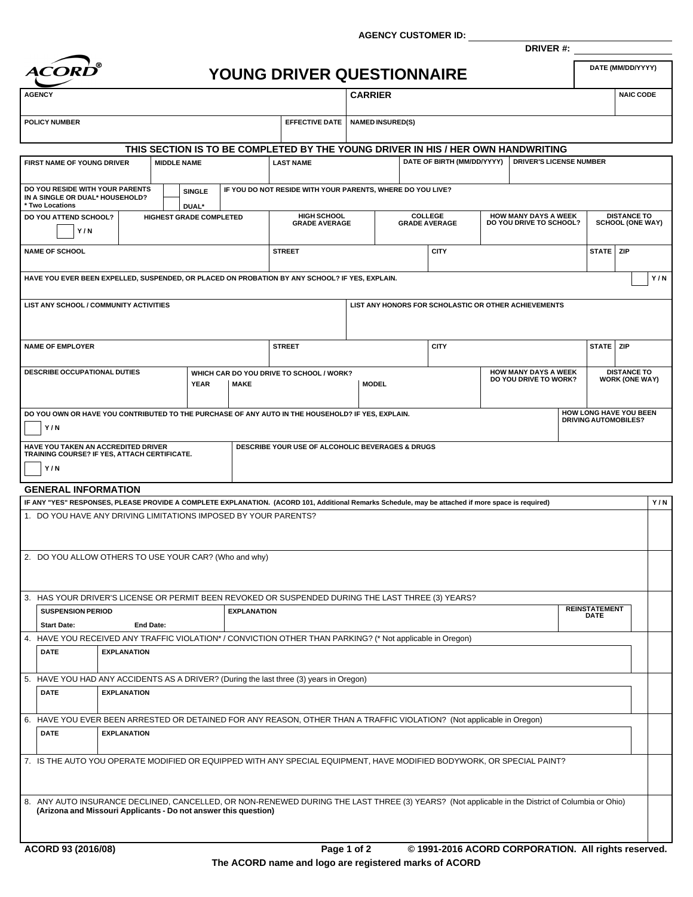**AGENCY CUSTOMER ID:**



## **YOUNG DRIVER QUESTIONNAIRE**

**DRIVER #:**

| <b>AGENCY</b>                                                                                                                                      |                    |                  |                    |                                         |                    |                                                                                  | <b>CARRIER</b>       |                         |                |                                                      |  |                                                      |  |                         | <b>NAIC CODE</b>            |     |
|----------------------------------------------------------------------------------------------------------------------------------------------------|--------------------|------------------|--------------------|-----------------------------------------|--------------------|----------------------------------------------------------------------------------|----------------------|-------------------------|----------------|------------------------------------------------------|--|------------------------------------------------------|--|-------------------------|-----------------------------|-----|
| <b>POLICY NUMBER</b>                                                                                                                               |                    |                  |                    |                                         |                    | <b>EFFECTIVE DATE</b>                                                            |                      |                         |                |                                                      |  |                                                      |  |                         |                             |     |
|                                                                                                                                                    |                    |                  |                    |                                         |                    |                                                                                  |                      | <b>NAMED INSURED(S)</b> |                |                                                      |  |                                                      |  |                         |                             |     |
|                                                                                                                                                    |                    |                  |                    |                                         |                    | THIS SECTION IS TO BE COMPLETED BY THE YOUNG DRIVER IN HIS / HER OWN HANDWRITING |                      |                         |                |                                                      |  |                                                      |  |                         |                             |     |
| FIRST NAME OF YOUNG DRIVER                                                                                                                         |                    |                  | <b>MIDDLE NAME</b> |                                         |                    | <b>LAST NAME</b>                                                                 |                      |                         |                | DATE OF BIRTH (MM/DD/YYYY)                           |  | <b>DRIVER'S LICENSE NUMBER</b>                       |  |                         |                             |     |
|                                                                                                                                                    |                    |                  |                    |                                         |                    |                                                                                  |                      |                         |                |                                                      |  |                                                      |  |                         |                             |     |
| DO YOU RESIDE WITH YOUR PARENTS<br>IN A SINGLE OR DUAL* HOUSEHOLD?                                                                                 |                    |                  |                    | <b>SINGLE</b>                           |                    | IF YOU DO NOT RESIDE WITH YOUR PARENTS, WHERE DO YOU LIVE?                       |                      |                         |                |                                                      |  |                                                      |  |                         |                             |     |
| * Two Locations<br>DO YOU ATTEND SCHOOL?                                                                                                           |                    |                  |                    | DUAL*<br><b>HIGHEST GRADE COMPLETED</b> |                    |                                                                                  | <b>HIGH SCHOOL</b>   |                         | <b>COLLEGE</b> |                                                      |  | <b>HOW MANY DAYS A WEEK</b>                          |  |                         | <b>DISTANCE TO</b>          |     |
| Y/N                                                                                                                                                |                    |                  |                    |                                         |                    |                                                                                  | <b>GRADE AVERAGE</b> |                         |                | <b>GRADE AVERAGE</b><br>DO YOU DRIVE TO SCHOOL?      |  |                                                      |  | <b>SCHOOL (ONE WAY)</b> |                             |     |
|                                                                                                                                                    |                    |                  |                    |                                         |                    |                                                                                  |                      |                         |                |                                                      |  |                                                      |  |                         |                             |     |
| <b>NAME OF SCHOOL</b>                                                                                                                              |                    |                  |                    |                                         |                    | <b>STREET</b>                                                                    |                      |                         |                | <b>CITY</b>                                          |  |                                                      |  | STATE ZIP               |                             |     |
| HAVE YOU EVER BEEN EXPELLED, SUSPENDED, OR PLACED ON PROBATION BY ANY SCHOOL? IF YES, EXPLAIN.                                                     |                    |                  |                    |                                         |                    |                                                                                  |                      |                         |                |                                                      |  |                                                      |  |                         |                             | Y/N |
|                                                                                                                                                    |                    |                  |                    |                                         |                    |                                                                                  |                      |                         |                |                                                      |  |                                                      |  |                         |                             |     |
| LIST ANY SCHOOL / COMMUNITY ACTIVITIES                                                                                                             |                    |                  |                    |                                         |                    |                                                                                  |                      |                         |                | LIST ANY HONORS FOR SCHOLASTIC OR OTHER ACHIEVEMENTS |  |                                                      |  |                         |                             |     |
|                                                                                                                                                    |                    |                  |                    |                                         |                    |                                                                                  |                      |                         |                |                                                      |  |                                                      |  |                         |                             |     |
|                                                                                                                                                    |                    |                  |                    |                                         |                    |                                                                                  |                      |                         |                |                                                      |  |                                                      |  |                         |                             |     |
| <b>NAME OF EMPLOYER</b>                                                                                                                            |                    |                  |                    |                                         |                    | <b>STREET</b>                                                                    |                      |                         |                | <b>CITY</b>                                          |  |                                                      |  | STATE ZIP               |                             |     |
|                                                                                                                                                    |                    |                  |                    |                                         |                    |                                                                                  |                      |                         |                |                                                      |  |                                                      |  |                         | <b>DISTANCE TO</b>          |     |
| DESCRIBE OCCUPATIONAL DUTIES                                                                                                                       |                    |                  |                    | <b>YEAR</b>                             | <b>MAKE</b>        | WHICH CAR DO YOU DRIVE TO SCHOOL / WORK?                                         |                      | <b>MODEL</b>            |                |                                                      |  | <b>HOW MANY DAYS A WEEK</b><br>DO YOU DRIVE TO WORK? |  |                         | <b>WORK (ONE WAY)</b>       |     |
|                                                                                                                                                    |                    |                  |                    |                                         |                    |                                                                                  |                      |                         |                |                                                      |  |                                                      |  |                         |                             |     |
| DO YOU OWN OR HAVE YOU CONTRIBUTED TO THE PURCHASE OF ANY AUTO IN THE HOUSEHOLD? IF YES, EXPLAIN.                                                  |                    |                  |                    |                                         |                    |                                                                                  |                      |                         |                |                                                      |  |                                                      |  |                         | HOW LONG HAVE YOU BEEN      |     |
| Y/N                                                                                                                                                |                    |                  |                    |                                         |                    |                                                                                  |                      |                         |                |                                                      |  |                                                      |  |                         | <b>DRIVING AUTOMOBILES?</b> |     |
|                                                                                                                                                    |                    |                  |                    |                                         |                    |                                                                                  |                      |                         |                |                                                      |  |                                                      |  |                         |                             |     |
|                                                                                                                                                    |                    |                  |                    |                                         |                    |                                                                                  |                      |                         |                |                                                      |  |                                                      |  |                         |                             |     |
| HAVE YOU TAKEN AN ACCREDITED DRIVER<br>TRAINING COURSE? IF YES, ATTACH CERTIFICATE.                                                                |                    |                  |                    |                                         |                    | DESCRIBE YOUR USE OF ALCOHOLIC BEVERAGES & DRUGS                                 |                      |                         |                |                                                      |  |                                                      |  |                         |                             |     |
| Y/N                                                                                                                                                |                    |                  |                    |                                         |                    |                                                                                  |                      |                         |                |                                                      |  |                                                      |  |                         |                             |     |
| <b>GENERAL INFORMATION</b>                                                                                                                         |                    |                  |                    |                                         |                    |                                                                                  |                      |                         |                |                                                      |  |                                                      |  |                         |                             |     |
| IF ANY "YES" RESPONSES, PLEASE PROVIDE A COMPLETE EXPLANATION. (ACORD 101, Additional Remarks Schedule, may be attached if more space is required) |                    |                  |                    |                                         |                    |                                                                                  |                      |                         |                |                                                      |  |                                                      |  |                         |                             | Y/N |
| 1. DO YOU HAVE ANY DRIVING LIMITATIONS IMPOSED BY YOUR PARENTS?                                                                                    |                    |                  |                    |                                         |                    |                                                                                  |                      |                         |                |                                                      |  |                                                      |  |                         |                             |     |
|                                                                                                                                                    |                    |                  |                    |                                         |                    |                                                                                  |                      |                         |                |                                                      |  |                                                      |  |                         |                             |     |
|                                                                                                                                                    |                    |                  |                    |                                         |                    |                                                                                  |                      |                         |                |                                                      |  |                                                      |  |                         |                             |     |
| 2. DO YOU ALLOW OTHERS TO USE YOUR CAR? (Who and why)                                                                                              |                    |                  |                    |                                         |                    |                                                                                  |                      |                         |                |                                                      |  |                                                      |  |                         |                             |     |
|                                                                                                                                                    |                    |                  |                    |                                         |                    |                                                                                  |                      |                         |                |                                                      |  |                                                      |  |                         |                             |     |
| 3. HAS YOUR DRIVER'S LICENSE OR PERMIT BEEN REVOKED OR SUSPENDED DURING THE LAST THREE (3) YEARS?                                                  |                    |                  |                    |                                         |                    |                                                                                  |                      |                         |                |                                                      |  |                                                      |  |                         |                             |     |
| <b>SUSPENSION PERIOD</b>                                                                                                                           |                    |                  |                    |                                         | <b>EXPLANATION</b> |                                                                                  |                      |                         |                |                                                      |  |                                                      |  | <b>REINSTATEMENT</b>    |                             |     |
| <b>Start Date:</b>                                                                                                                                 |                    | <b>End Date:</b> |                    |                                         |                    |                                                                                  |                      |                         |                |                                                      |  |                                                      |  | <b>DATE</b>             |                             |     |
| 4. HAVE YOU RECEIVED ANY TRAFFIC VIOLATION* / CONVICTION OTHER THAN PARKING? (* Not applicable in Oregon)                                          |                    |                  |                    |                                         |                    |                                                                                  |                      |                         |                |                                                      |  |                                                      |  |                         |                             |     |
| <b>DATE</b>                                                                                                                                        | <b>EXPLANATION</b> |                  |                    |                                         |                    |                                                                                  |                      |                         |                |                                                      |  |                                                      |  |                         |                             |     |
|                                                                                                                                                    |                    |                  |                    |                                         |                    |                                                                                  |                      |                         |                |                                                      |  |                                                      |  |                         |                             |     |
| 5. HAVE YOU HAD ANY ACCIDENTS AS A DRIVER? (During the last three (3) years in Oregon)                                                             |                    |                  |                    |                                         |                    |                                                                                  |                      |                         |                |                                                      |  |                                                      |  |                         |                             |     |
| <b>DATE</b>                                                                                                                                        | <b>EXPLANATION</b> |                  |                    |                                         |                    |                                                                                  |                      |                         |                |                                                      |  |                                                      |  |                         |                             |     |
|                                                                                                                                                    |                    |                  |                    |                                         |                    |                                                                                  |                      |                         |                |                                                      |  |                                                      |  |                         |                             |     |
| 6. HAVE YOU EVER BEEN ARRESTED OR DETAINED FOR ANY REASON, OTHER THAN A TRAFFIC VIOLATION? (Not applicable in Oregon)<br><b>DATE</b>               | <b>EXPLANATION</b> |                  |                    |                                         |                    |                                                                                  |                      |                         |                |                                                      |  |                                                      |  |                         |                             |     |
|                                                                                                                                                    |                    |                  |                    |                                         |                    |                                                                                  |                      |                         |                |                                                      |  |                                                      |  |                         |                             |     |
| 7. IS THE AUTO YOU OPERATE MODIFIED OR EQUIPPED WITH ANY SPECIAL EQUIPMENT, HAVE MODIFIED BODYWORK, OR SPECIAL PAINT?                              |                    |                  |                    |                                         |                    |                                                                                  |                      |                         |                |                                                      |  |                                                      |  |                         |                             |     |
|                                                                                                                                                    |                    |                  |                    |                                         |                    |                                                                                  |                      |                         |                |                                                      |  |                                                      |  |                         |                             |     |
|                                                                                                                                                    |                    |                  |                    |                                         |                    |                                                                                  |                      |                         |                |                                                      |  |                                                      |  |                         |                             |     |
| 8. ANY AUTO INSURANCE DECLINED, CANCELLED, OR NON-RENEWED DURING THE LAST THREE (3) YEARS? (Not applicable in the District of Columbia or Ohio)    |                    |                  |                    |                                         |                    |                                                                                  |                      |                         |                |                                                      |  |                                                      |  |                         |                             |     |
| (Arizona and Missouri Applicants - Do not answer this question)                                                                                    |                    |                  |                    |                                         |                    |                                                                                  |                      |                         |                |                                                      |  |                                                      |  |                         |                             |     |
|                                                                                                                                                    |                    |                  |                    |                                         |                    |                                                                                  |                      |                         |                |                                                      |  |                                                      |  |                         |                             |     |